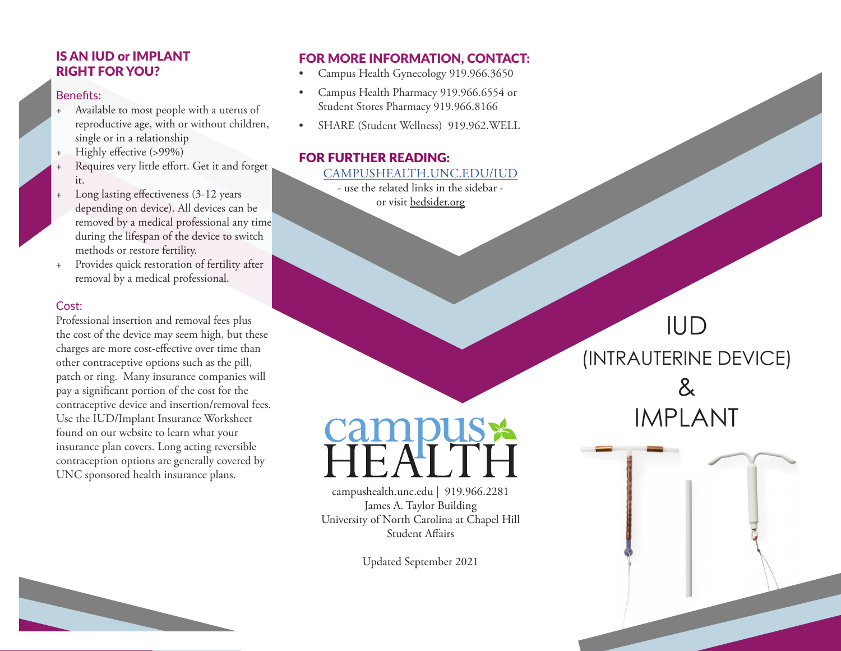## IS AN IUD or IMPLANT RIGHT FOR YOU?

#### Benefits:

- Available to most people with a uterus of reproductive age, with or without children, single or in a relationship
- Highly effective (>99%)
- Requires very little effort. Get it and forget it.
- Long lasting effectiveness (3-12 years depending on device). All devices can be removed by a medical professional any time during the lifespan of the device to switch methods or restore fertility.
- Provides quick restoration of fertility after removal by a medical professional.

#### Cost:

Professional insertion and removal fees plus the cost of the device may seem high, but these charges are more cost-effective over time than other contraceptive options such as the pill, patch or ring. Many insurance companies will pay a significant portion of the cost for the contraceptive device and insertion/removal fees. Use the IUD/Implant Insurance Worksheet found on our website to learn what your insurance plan covers. Long acting reversible contraception options are generally covered by UNC sponsored health insurance plans.

## FOR MORE INFORMATION, CONTACT:

- Campus Health Gynecology 919.966.3650
- Campus Health Pharmacy 919.966.6554 or Student Stores Pharmacy 919.966.8166
- SHARE (Student Wellness) 919.962.WELL

### FOR FURTHER READING: [CAMPUSHEALTH.UNC.EDU/I](http://campushealth.unc.edu/larc)UD

- use the related links in the sidebar or visit bedsider.org

campushealth.unc.edu | 919.966.2281 James A. Taylor Building University of North Carolina at Chapel Hill Student Affairs

**CUSS** 

Updated September 2021

# IUD (INTRAUTERINE DEVICE) & IMPLANT